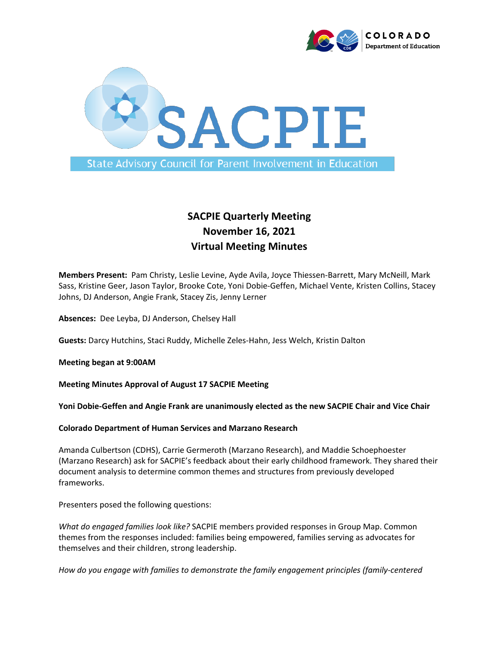



# **SACPIE Quarterly Meeting November 16, 2021 Virtual Meeting Minutes**

**Members Present:** Pam Christy, Leslie Levine, Ayde Avila, Joyce Thiessen-Barrett, Mary McNeill, Mark Sass, Kristine Geer, Jason Taylor, Brooke Cote, Yoni Dobie-Geffen, Michael Vente, Kristen Collins, Stacey Johns, DJ Anderson, Angie Frank, Stacey Zis, Jenny Lerner

**Absences:** Dee Leyba, DJ Anderson, Chelsey Hall

**Guests:** Darcy Hutchins, Staci Ruddy, Michelle Zeles-Hahn, Jess Welch, Kristin Dalton

**Meeting began at 9:00AM**

**Meeting Minutes Approval of August 17 SACPIE Meeting**

**Yoni Dobie-Geffen and Angie Frank are unanimously elected as the new SACPIE Chair and Vice Chair**

**Colorado Department of Human Services and Marzano Research** 

Amanda Culbertson (CDHS), Carrie Germeroth (Marzano Research), and Maddie Schoephoester (Marzano Research) ask for SACPIE's feedback about their early childhood framework. They shared their document analysis to determine common themes and structures from previously developed frameworks.

Presenters posed the following questions:

*What do engaged families look like?* SACPIE members provided responses in Group Map. Common themes from the responses included: families being empowered, families serving as advocates for themselves and their children, strong leadership.

*How do you engage with families to demonstrate the family engagement principles (family-centered*